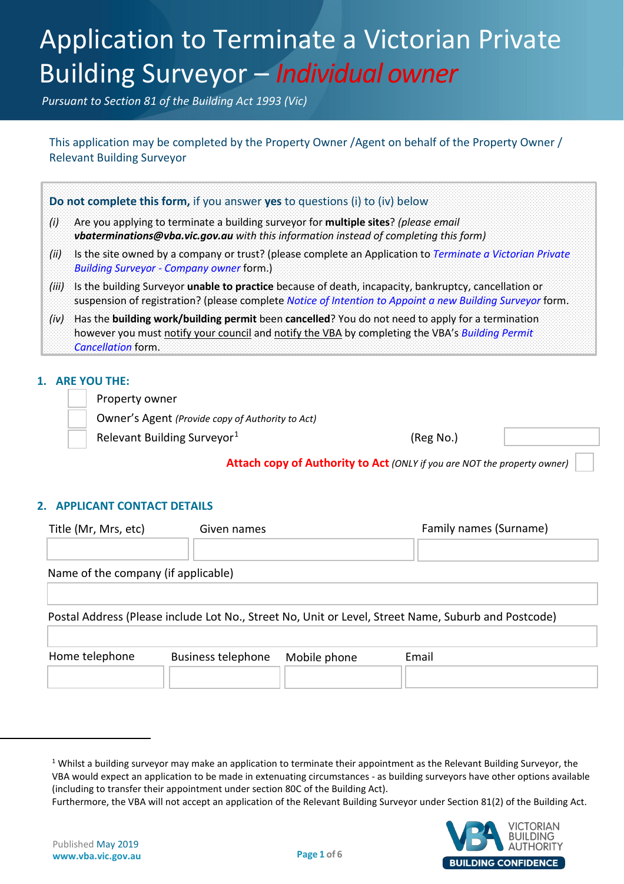# Application to Terminate a Victorian Private Application to Terminate a Victorian Private Building Surveyor – *Individual owner*

*Pursuant to Section 81 of the Building Act 1993 (Vic)*

This application may be completed by the Property Owner / Agent on behalf of the Property Owner / Relevant Building Surveyor

|                   | Do not complete this form, if you answer yes to questions (i) to (iv) below                                                                                                                                                      |
|-------------------|----------------------------------------------------------------------------------------------------------------------------------------------------------------------------------------------------------------------------------|
| $\left( i\right)$ | Are you applying to terminate a building surveyor for multiple sites? (please email<br>vbaterminations@vba.vic.gov.au with this information instead of completing this form)                                                     |
| (ii)              | Is the site owned by a company or trust? (please complete an Application to Terminate a Victorian Private<br><b>Building Surveyor - Company owner form.)</b>                                                                     |
|                   | (iii) Is the building Surveyor unable to practice because of death, incapacity, bankruptcy, cancellation or<br>suspension of registration? (please complete Notice of Intention to Appoint a new Building Surveyor form.         |
| (iv)              | Has the building work/building permit been cancelled? You do not need to apply for a termination<br>however you must notify your council and notify the VBA by completing the VBA's Building Permit<br><i>Cancellation</i> form. |

# **1. ARE YOU THE:**

Property owner

Owner's Agent *(Provide copy of Authority to Act)*

Relevant Building Surveyor<sup>[1](#page-0-0)</sup>  $(Reg No.)$ 

**Attach copy of Authority to Act** *(ONLY if you are NOT the property owner)*

# **2. APPLICANT CONTACT DETAILS**

| Title (Mr, Mrs, etc)                                                                                | Given names               |              | Family names (Surname) |  |
|-----------------------------------------------------------------------------------------------------|---------------------------|--------------|------------------------|--|
|                                                                                                     |                           |              |                        |  |
| Name of the company (if applicable)                                                                 |                           |              |                        |  |
|                                                                                                     |                           |              |                        |  |
| Postal Address (Please include Lot No., Street No, Unit or Level, Street Name, Suburb and Postcode) |                           |              |                        |  |
|                                                                                                     |                           |              |                        |  |
| Home telephone                                                                                      | <b>Business telephone</b> | Mobile phone | Email                  |  |
|                                                                                                     |                           |              |                        |  |

Furthermore, the VBA will not accept an application of the Relevant Building Surveyor under Section 81(2) of the Building Act.



<span id="page-0-0"></span> $\overline{\phantom{a}}$ 

 $1$  Whilst a building surveyor may make an application to terminate their appointment as the Relevant Building Surveyor, the VBA would expect an application to be made in extenuating circumstances - as building surveyors have other options available (including to transfer their appointment under section 80C of the Building Act).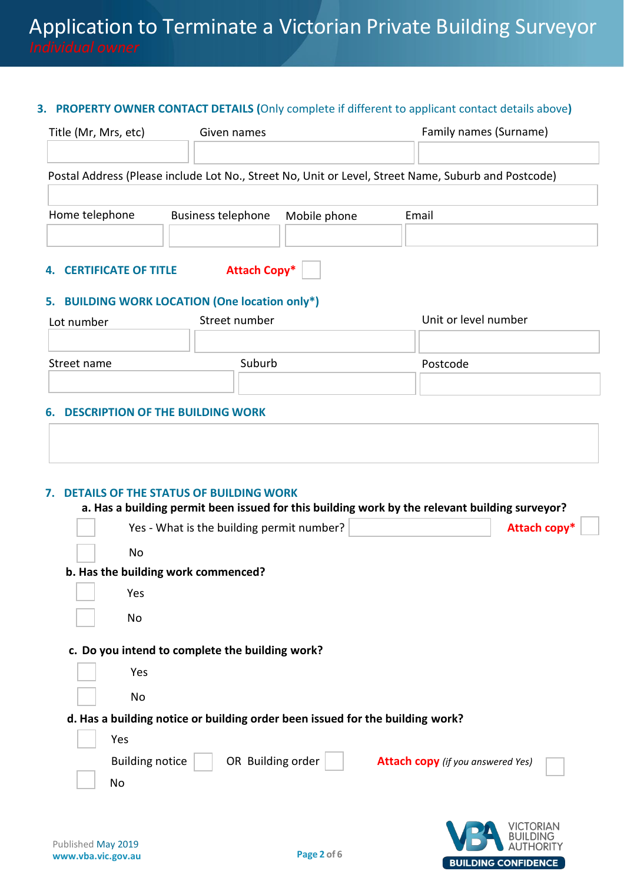### **3. PROPERTY OWNER CONTACT DETAILS (**Only complete if different to applicant contact details above**)**

| Title (Mr, Mrs, etc)           | Given names               |              | Family names (Surname)                                                                              |
|--------------------------------|---------------------------|--------------|-----------------------------------------------------------------------------------------------------|
|                                |                           |              | Postal Address (Please include Lot No., Street No, Unit or Level, Street Name, Suburb and Postcode) |
| Home telephone                 | <b>Business telephone</b> | Mobile phone | Email                                                                                               |
| <b>4. CERTIFICATE OF TITLE</b> | <b>Attach Copy*</b>       |              |                                                                                                     |

# **5. BUILDING WORK LOCATION (One location only\*)**

| Lot number  | Street number | Unit or level number |
|-------------|---------------|----------------------|
| Street name | Suburb        | Postcode             |
|             |               |                      |

# **6. DESCRIPTION OF THE BUILDING WORK**

# **7. DETAILS OF THE STATUS OF BUILDING WORK**

#### **a. Has a building permit been issued for this building work by the relevant building surveyor?**

| Yes - What is the building permit number?                                               | Attach copy* |
|-----------------------------------------------------------------------------------------|--------------|
| No                                                                                      |              |
| b. Has the building work commenced?                                                     |              |
| Yes                                                                                     |              |
| No                                                                                      |              |
| c. Do you intend to complete the building work?                                         |              |
| Yes                                                                                     |              |
| No                                                                                      |              |
| d. Has a building notice or building order been issued for the building work?           |              |
| Yes                                                                                     |              |
| OR Building order<br><b>Building notice</b><br><b>Attach copy</b> (if you answered Yes) |              |
| No                                                                                      |              |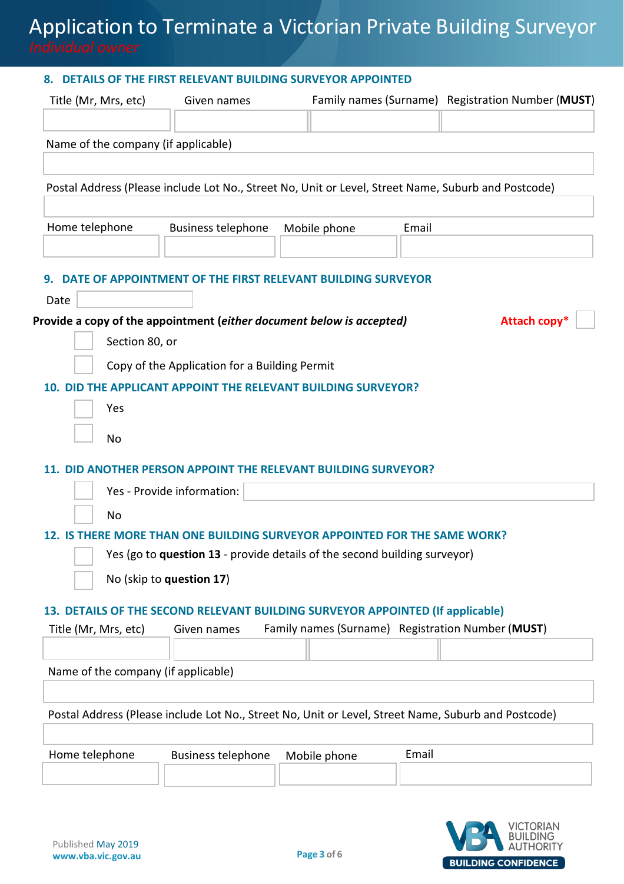# Application to Terminate a Victorian Private Building Surveyor *Individual owner*

### **8. DETAILS OF THE FIRST RELEVANT BUILDING SURVEYOR APPOINTED**

| Name of the company (if applicable)<br>Postal Address (Please include Lot No., Street No, Unit or Level, Street Name, Suburb and Postcode)<br>Home telephone<br><b>Business telephone</b><br>Mobile phone<br>Email<br>DATE OF APPOINTMENT OF THE FIRST RELEVANT BUILDING SURVEYOR<br>Date<br>Provide a copy of the appointment (either document below is accepted)<br>Attach copy <sup>*</sup><br>Section 80, or<br>Copy of the Application for a Building Permit<br>DID THE APPLICANT APPOINT THE RELEVANT BUILDING SURVEYOR?<br>Yes<br>No<br>11. DID ANOTHER PERSON APPOINT THE RELEVANT BUILDING SURVEYOR?<br>Yes - Provide information:<br>No<br>12. IS THERE MORE THAN ONE BUILDING SURVEYOR APPOINTED FOR THE SAME WORK?<br>Yes (go to question 13 - provide details of the second building surveyor)<br>No (skip to question 17)<br>13. DETAILS OF THE SECOND RELEVANT BUILDING SURVEYOR APPOINTED (If applicable)<br>Family names (Surname) Registration Number (MUST)<br>Title (Mr, Mrs, etc)<br>Given names<br>Name of the company (if applicable)<br>Postal Address (Please include Lot No., Street No, Unit or Level, Street Name, Suburb and Postcode) | Title (Mr, Mrs, etc) | Given names               |              |       | Family names (Surname) Registration Number (MUST) |
|---------------------------------------------------------------------------------------------------------------------------------------------------------------------------------------------------------------------------------------------------------------------------------------------------------------------------------------------------------------------------------------------------------------------------------------------------------------------------------------------------------------------------------------------------------------------------------------------------------------------------------------------------------------------------------------------------------------------------------------------------------------------------------------------------------------------------------------------------------------------------------------------------------------------------------------------------------------------------------------------------------------------------------------------------------------------------------------------------------------------------------------------------------------------|----------------------|---------------------------|--------------|-------|---------------------------------------------------|
|                                                                                                                                                                                                                                                                                                                                                                                                                                                                                                                                                                                                                                                                                                                                                                                                                                                                                                                                                                                                                                                                                                                                                                     |                      |                           |              |       |                                                   |
|                                                                                                                                                                                                                                                                                                                                                                                                                                                                                                                                                                                                                                                                                                                                                                                                                                                                                                                                                                                                                                                                                                                                                                     |                      |                           |              |       |                                                   |
|                                                                                                                                                                                                                                                                                                                                                                                                                                                                                                                                                                                                                                                                                                                                                                                                                                                                                                                                                                                                                                                                                                                                                                     |                      |                           |              |       |                                                   |
|                                                                                                                                                                                                                                                                                                                                                                                                                                                                                                                                                                                                                                                                                                                                                                                                                                                                                                                                                                                                                                                                                                                                                                     |                      |                           |              |       |                                                   |
|                                                                                                                                                                                                                                                                                                                                                                                                                                                                                                                                                                                                                                                                                                                                                                                                                                                                                                                                                                                                                                                                                                                                                                     |                      |                           |              |       |                                                   |
|                                                                                                                                                                                                                                                                                                                                                                                                                                                                                                                                                                                                                                                                                                                                                                                                                                                                                                                                                                                                                                                                                                                                                                     |                      |                           |              |       |                                                   |
|                                                                                                                                                                                                                                                                                                                                                                                                                                                                                                                                                                                                                                                                                                                                                                                                                                                                                                                                                                                                                                                                                                                                                                     |                      |                           |              |       |                                                   |
|                                                                                                                                                                                                                                                                                                                                                                                                                                                                                                                                                                                                                                                                                                                                                                                                                                                                                                                                                                                                                                                                                                                                                                     |                      |                           |              |       |                                                   |
|                                                                                                                                                                                                                                                                                                                                                                                                                                                                                                                                                                                                                                                                                                                                                                                                                                                                                                                                                                                                                                                                                                                                                                     |                      |                           |              |       |                                                   |
|                                                                                                                                                                                                                                                                                                                                                                                                                                                                                                                                                                                                                                                                                                                                                                                                                                                                                                                                                                                                                                                                                                                                                                     |                      |                           |              |       |                                                   |
|                                                                                                                                                                                                                                                                                                                                                                                                                                                                                                                                                                                                                                                                                                                                                                                                                                                                                                                                                                                                                                                                                                                                                                     |                      |                           |              |       |                                                   |
|                                                                                                                                                                                                                                                                                                                                                                                                                                                                                                                                                                                                                                                                                                                                                                                                                                                                                                                                                                                                                                                                                                                                                                     |                      |                           |              |       |                                                   |
|                                                                                                                                                                                                                                                                                                                                                                                                                                                                                                                                                                                                                                                                                                                                                                                                                                                                                                                                                                                                                                                                                                                                                                     |                      |                           |              |       |                                                   |
|                                                                                                                                                                                                                                                                                                                                                                                                                                                                                                                                                                                                                                                                                                                                                                                                                                                                                                                                                                                                                                                                                                                                                                     |                      |                           |              |       |                                                   |
|                                                                                                                                                                                                                                                                                                                                                                                                                                                                                                                                                                                                                                                                                                                                                                                                                                                                                                                                                                                                                                                                                                                                                                     |                      |                           |              |       |                                                   |
|                                                                                                                                                                                                                                                                                                                                                                                                                                                                                                                                                                                                                                                                                                                                                                                                                                                                                                                                                                                                                                                                                                                                                                     |                      |                           |              |       |                                                   |
|                                                                                                                                                                                                                                                                                                                                                                                                                                                                                                                                                                                                                                                                                                                                                                                                                                                                                                                                                                                                                                                                                                                                                                     |                      |                           |              |       |                                                   |
|                                                                                                                                                                                                                                                                                                                                                                                                                                                                                                                                                                                                                                                                                                                                                                                                                                                                                                                                                                                                                                                                                                                                                                     |                      |                           |              |       |                                                   |
|                                                                                                                                                                                                                                                                                                                                                                                                                                                                                                                                                                                                                                                                                                                                                                                                                                                                                                                                                                                                                                                                                                                                                                     |                      |                           |              |       |                                                   |
|                                                                                                                                                                                                                                                                                                                                                                                                                                                                                                                                                                                                                                                                                                                                                                                                                                                                                                                                                                                                                                                                                                                                                                     |                      |                           |              |       |                                                   |
|                                                                                                                                                                                                                                                                                                                                                                                                                                                                                                                                                                                                                                                                                                                                                                                                                                                                                                                                                                                                                                                                                                                                                                     |                      |                           |              |       |                                                   |
|                                                                                                                                                                                                                                                                                                                                                                                                                                                                                                                                                                                                                                                                                                                                                                                                                                                                                                                                                                                                                                                                                                                                                                     |                      |                           |              |       |                                                   |
|                                                                                                                                                                                                                                                                                                                                                                                                                                                                                                                                                                                                                                                                                                                                                                                                                                                                                                                                                                                                                                                                                                                                                                     |                      |                           |              |       |                                                   |
|                                                                                                                                                                                                                                                                                                                                                                                                                                                                                                                                                                                                                                                                                                                                                                                                                                                                                                                                                                                                                                                                                                                                                                     |                      |                           |              |       |                                                   |
|                                                                                                                                                                                                                                                                                                                                                                                                                                                                                                                                                                                                                                                                                                                                                                                                                                                                                                                                                                                                                                                                                                                                                                     | Home telephone       | <b>Business telephone</b> | Mobile phone | Email |                                                   |

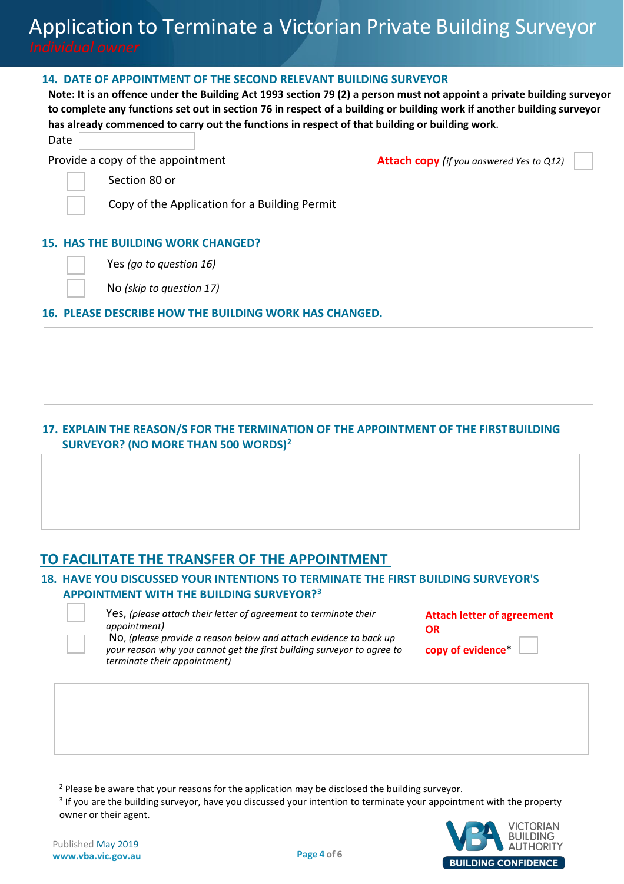#### **14. DATE OF APPOINTMENT OF THE SECOND RELEVANT BUILDING SURVEYOR**

**Note: It is an offence under the Building Act 1993 section 79 (2) a person must not appoint a private building surveyor to complete any functions set out in section 76 in respect of a building or building work if another building surveyor has already commenced to carry out the functions in respect of that building or building work**.

Date

Provide a copy of the appointment **Attach COPY** (*if you answered Yes to Q12)* 

Section 80 or

Copy of the Application for a Building Permit

#### **15. HAS THE BUILDING WORK CHANGED?**

Yes *(go to question 16)* 

No *(skip to question 17)*

#### **16. PLEASE DESCRIBE HOW THE BUILDING WORK HAS CHANGED.**

# **17. EXPLAIN THE REASON/S FOR THE TERMINATION OF THE APPOINTMENT OF THE FIRSTBUILDING SURVEYOR? (NO MORE THAN 500 WORDS)[2](#page-3-0)**

# **TO FACILITATE THE TRANSFER OF THE APPOINTMENT**

# **18. HAVE YOU DISCUSSED YOUR INTENTIONS TO TERMINATE THE FIRST BUILDING SURVEYOR'S APPOINTMENT WITH THE BUILDING SURVEYOR?[3](#page-3-1)**



<span id="page-3-1"></span><span id="page-3-0"></span> $\overline{\phantom{a}}$ 

Yes, *(please attach their letter of agreement to terminate their appointment)*

**Attach letter of agreement OR**

No, *(please provide a reason below and attach evidence to back up your reason why you cannot get the first building surveyor to agree to terminate their appointment)* 

**copy of evidence**\*

<sup>3</sup> If you are the building surveyor, have you discussed your intention to terminate your appointment with the property owner or their agent.



<sup>&</sup>lt;sup>2</sup> Please be aware that your reasons for the application may be disclosed the building surveyor.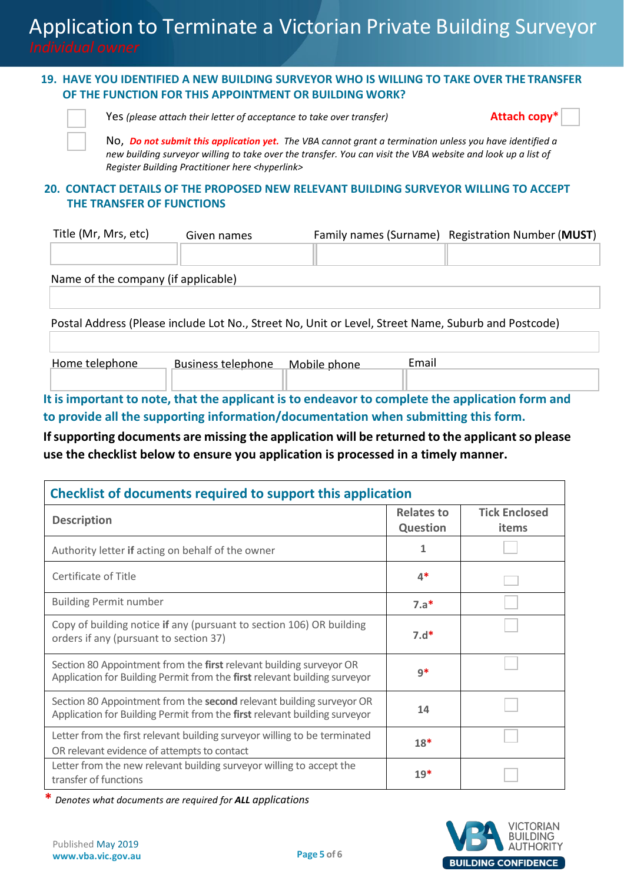# **19. HAVE YOU IDENTIFIED A NEW BUILDING SURVEYOR WHO IS WILLING TO TAKE OVER THE TRANSFER OF THE FUNCTION FOR THIS APPOINTMENT OR BUILDING WORK?**



Yes *(please attach their letter of acceptance to take over transfer)* **Attach copy\***



No, *Do not submit this application yet. The VBA cannot grant a termination unless you have identified a new building surveyor willing to take over the transfer. You can visit the VBA website and look up a list of Register Building Practitioner here <hyperlink>*

# **20. CONTACT DETAILS OF THE PROPOSED NEW RELEVANT BUILDING SURVEYOR WILLING TO ACCEPT THE TRANSFER OF FUNCTIONS**

| Title (Mr, Mrs, etc) | Given names | Family names (Surname) Registration Number (MUST) |
|----------------------|-------------|---------------------------------------------------|
|                      |             |                                                   |

Name of the company (if applicable)

Postal Address (Please include Lot No., Street No, Unit or Level, Street Name, Suburb and Postcode)

| Home telephone | <b>Business telephone</b> | Mobile phone | Email |  |
|----------------|---------------------------|--------------|-------|--|
|                |                           |              |       |  |

**It is important to note, that the applicant is to endeavor to complete the application form and to provide all the supporting information/documentation when submitting this form.** 

# **If supporting documents are missing the application will be returned to the applicant so please use the checklist below to ensure you application is processed in a timely manner.**

| Checklist of documents required to support this application                                                                                       |                                      |                               |  |  |
|---------------------------------------------------------------------------------------------------------------------------------------------------|--------------------------------------|-------------------------------|--|--|
| <b>Description</b>                                                                                                                                | <b>Relates to</b><br><b>Question</b> | <b>Tick Enclosed</b><br>items |  |  |
| Authority letter if acting on behalf of the owner                                                                                                 | 1                                    |                               |  |  |
| Certificate of Title                                                                                                                              | $4*$                                 |                               |  |  |
| <b>Building Permit number</b>                                                                                                                     | $7.a*$                               |                               |  |  |
| Copy of building notice if any (pursuant to section 106) OR building<br>orders if any (pursuant to section 37)                                    | $7.d*$                               |                               |  |  |
| Section 80 Appointment from the first relevant building surveyor OR<br>Application for Building Permit from the first relevant building surveyor  | $9*$                                 |                               |  |  |
| Section 80 Appointment from the second relevant building surveyor OR<br>Application for Building Permit from the first relevant building surveyor | 14                                   |                               |  |  |
| Letter from the first relevant building surveyor willing to be terminated<br>OR relevant evidence of attempts to contact                          | $18*$                                |                               |  |  |
| Letter from the new relevant building surveyor willing to accept the<br>transfer of functions                                                     | $19*$                                |                               |  |  |

**\*** *Denotes what documents are required for ALL applications*